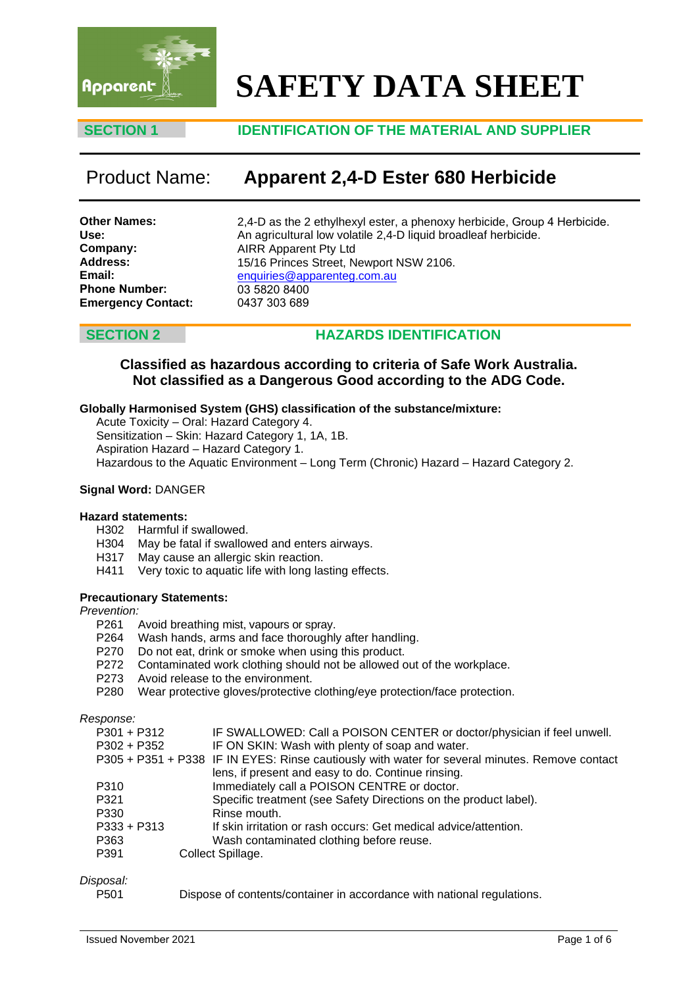

# **SAFETY DATA SHEET**

### **SECTION 1 IDENTIFICATION OF THE MATERIAL AND SUPPLIER**

## Product Name: **Apparent 2,4-D Ester 680 Herbicide**

| <b>Other Names:</b>       |  |
|---------------------------|--|
| Use:                      |  |
| Company:                  |  |
| <b>Address:</b>           |  |
| Email:                    |  |
| <b>Phone Number:</b>      |  |
| <b>Emergency Contact:</b> |  |

2,4-D as the 2 ethylhexyl ester, a phenoxy herbicide, Group 4 Herbicide. An agricultural low volatile 2,4-D liquid broadleaf herbicide. AIRR Apparent Pty Ltd 15/16 Princes Street, Newport NSW 2106. enquiries@apparenteg.com.au [03 5820 8400](mailto:enquiries@apparenteg.com.au) 0437 303 689

### **SECTION 2 HAZARDS IDENTIFICATION**

### **Classified as hazardous according to criteria of Safe Work Australia. Not classified as a Dangerous Good according to the ADG Code.**

#### **Globally Harmonised System (GHS) classification of the substance/mixture:**

Acute Toxicity – Oral: Hazard Category 4.

Sensitization – Skin: Hazard Category 1, 1A, 1B.

Aspiration Hazard – Hazard Category 1.

Hazardous to the Aquatic Environment – Long Term (Chronic) Hazard – Hazard Category 2.

#### **Signal Word:** DANGER

#### **Hazard statements:**

- H302 Harmful if swallowed.<br>H304 May be fatal if swallow
- May be fatal if swallowed and enters airways.
- H317 May cause an allergic skin reaction.
- H411 Very toxic to aquatic life with long lasting effects.

#### **Precautionary Statements:**

# *Prevention:*

- Avoid breathing mist, vapours or spray.
- P264 Wash hands, arms and face thoroughly after handling.<br>P270 Do not eat, drink or smoke when using this product.
- Do not eat, drink or smoke when using this product.
- P272 Contaminated work clothing should not be allowed out of the workplace.
- P273 Avoid release to the environment.
- P280 Wear protective gloves/protective clothing/eye protection/face protection.

#### *Response:*

| $P301 + P312$ | IF SWALLOWED: Call a POISON CENTER or doctor/physician if feel unwell.                         |
|---------------|------------------------------------------------------------------------------------------------|
| $P302 + P352$ | IF ON SKIN: Wash with plenty of soap and water.                                                |
|               | P305 + P351 + P338 IF IN EYES: Rinse cautiously with water for several minutes. Remove contact |
|               | lens, if present and easy to do. Continue rinsing.                                             |
| P310          | Immediately call a POISON CENTRE or doctor.                                                    |
| P321          | Specific treatment (see Safety Directions on the product label).                               |
| P330          | Rinse mouth.                                                                                   |
| $P333 + P313$ | If skin irritation or rash occurs: Get medical advice/attention.                               |
| P363          | Wash contaminated clothing before reuse.                                                       |
| P391          | Collect Spillage.                                                                              |
|               |                                                                                                |

# *Disposal:*

Dispose of contents/container in accordance with national regulations.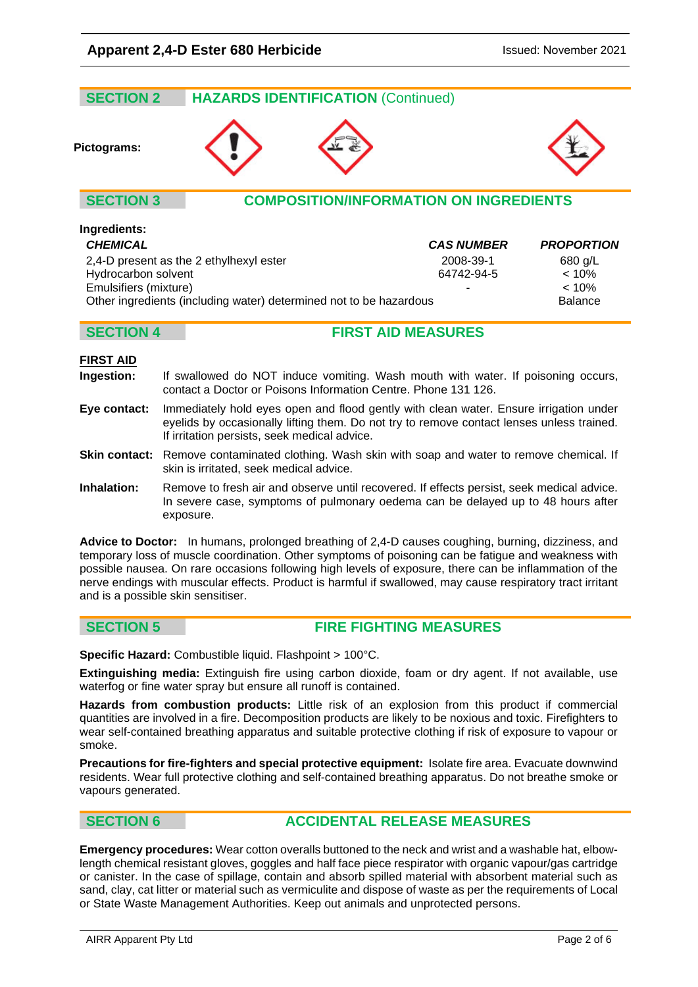| <b>SECTION 2</b> | <b>HAZARDS IDENTIFICATION (Continued)</b>     |  |
|------------------|-----------------------------------------------|--|
| Pictograms:      |                                               |  |
| <b>SECTION 3</b> | <b>COMPOSITION/INFORMATION ON INGREDIENTS</b> |  |
| Ingredients:     |                                               |  |

| <b>CHEMICAL</b>                                                    | <b>CAS NUMBER</b> | <b>PROPORTION</b> |
|--------------------------------------------------------------------|-------------------|-------------------|
| 2,4-D present as the 2 ethylhexyl ester                            | 2008-39-1         | 680 g/L           |
| Hydrocarbon solvent                                                | 64742-94-5        | $< 10\%$          |
| Emulsifiers (mixture)                                              | -                 | $< 10\%$          |
| Other ingredients (including water) determined not to be hazardous |                   | <b>Balance</b>    |

### **SECTION 4 FIRST AID MEASURES**

#### **FIRST AID**

- **Ingestion:** If swallowed do NOT induce vomiting. Wash mouth with water. If poisoning occurs, contact a Doctor or Poisons Information Centre. Phone 131 126.
- **Eye contact:** Immediately hold eyes open and flood gently with clean water. Ensure irrigation under eyelids by occasionally lifting them. Do not try to remove contact lenses unless trained. If irritation persists, seek medical advice.
- **Skin contact:** Remove contaminated clothing. Wash skin with soap and water to remove chemical. If skin is irritated, seek medical advice.
- **Inhalation:** Remove to fresh air and observe until recovered. If effects persist, seek medical advice. In severe case, symptoms of pulmonary oedema can be delayed up to 48 hours after exposure.

**Advice to Doctor:** In humans, prolonged breathing of 2,4-D causes coughing, burning, dizziness, and temporary loss of muscle coordination. Other symptoms of poisoning can be fatigue and weakness with possible nausea. On rare occasions following high levels of exposure, there can be inflammation of the nerve endings with muscular effects. Product is harmful if swallowed, may cause respiratory tract irritant and is a possible skin sensitiser.

**SECTION 5 FIRE FIGHTING MEASURES**

**Specific Hazard:** Combustible liquid. Flashpoint > 100°C.

**Extinguishing media:** Extinguish fire using carbon dioxide, foam or dry agent. If not available, use waterfog or fine water spray but ensure all runoff is contained.

**Hazards from combustion products:** Little risk of an explosion from this product if commercial quantities are involved in a fire. Decomposition products are likely to be noxious and toxic. Firefighters to wear self-contained breathing apparatus and suitable protective clothing if risk of exposure to vapour or smoke.

**Precautions for fire-fighters and special protective equipment:** Isolate fire area. Evacuate downwind residents. Wear full protective clothing and self-contained breathing apparatus. Do not breathe smoke or vapours generated.

### **SECTION 6 ACCIDENTAL RELEASE MEASURES**

**Emergency procedures:** Wear cotton overalls buttoned to the neck and wrist and a washable hat, elbowlength chemical resistant gloves, goggles and half face piece respirator with organic vapour/gas cartridge or canister. In the case of spillage, contain and absorb spilled material with absorbent material such as sand, clay, cat litter or material such as vermiculite and dispose of waste as per the requirements of Local or State Waste Management Authorities. Keep out animals and unprotected persons.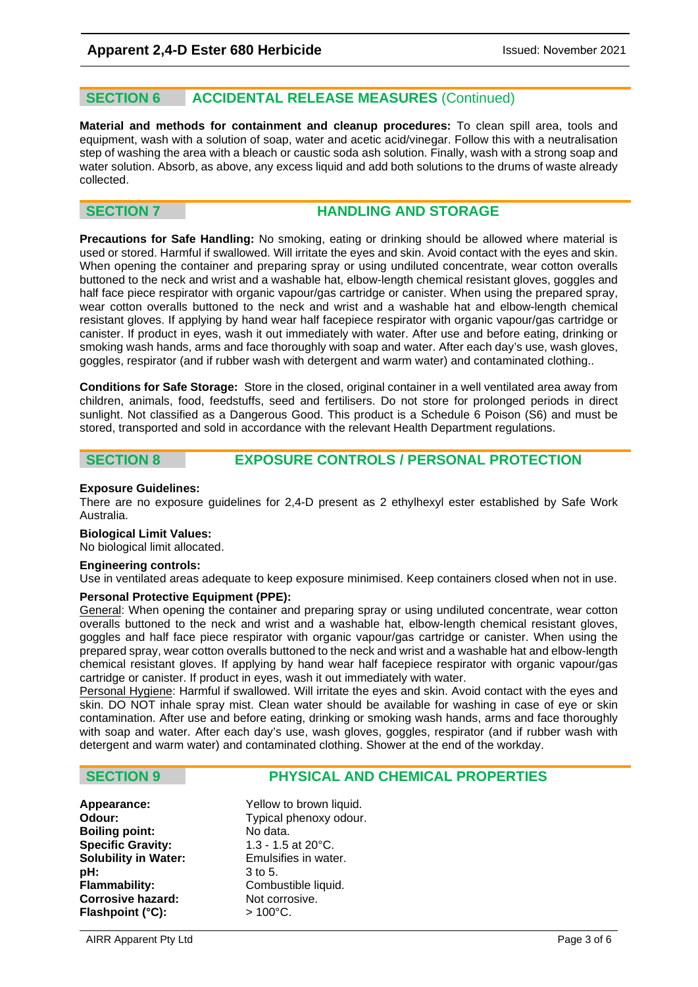### **SECTION 6 ACCIDENTAL RELEASE MEASURES** (Continued)

**Material and methods for containment and cleanup procedures:** To clean spill area, tools and equipment, wash with a solution of soap, water and acetic acid/vinegar. Follow this with a neutralisation step of washing the area with a bleach or caustic soda ash solution. Finally, wash with a strong soap and water solution. Absorb, as above, any excess liquid and add both solutions to the drums of waste already collected.

#### **SECTION 7 <b>HANDLING AND STORAGE**

**Precautions for Safe Handling:** No smoking, eating or drinking should be allowed where material is used or stored. Harmful if swallowed. Will irritate the eyes and skin. Avoid contact with the eyes and skin. When opening the container and preparing spray or using undiluted concentrate, wear cotton overalls buttoned to the neck and wrist and a washable hat, elbow-length chemical resistant gloves, goggles and half face piece respirator with organic vapour/gas cartridge or canister. When using the prepared spray, wear cotton overalls buttoned to the neck and wrist and a washable hat and elbow-length chemical resistant gloves. If applying by hand wear half facepiece respirator with organic vapour/gas cartridge or canister. If product in eyes, wash it out immediately with water. After use and before eating, drinking or smoking wash hands, arms and face thoroughly with soap and water. After each day's use, wash gloves, goggles, respirator (and if rubber wash with detergent and warm water) and contaminated clothing..

**Conditions for Safe Storage:** Store in the closed, original container in a well ventilated area away from children, animals, food, feedstuffs, seed and fertilisers. Do not store for prolonged periods in direct sunlight. Not classified as a Dangerous Good. This product is a Schedule 6 Poison (S6) and must be stored, transported and sold in accordance with the relevant Health Department regulations.

### **SECTION 8 EXPOSURE CONTROLS / PERSONAL PROTECTION**

#### **Exposure Guidelines:**

There are no exposure guidelines for 2,4-D present as 2 ethylhexyl ester established by Safe Work Australia.

#### **Biological Limit Values:**

No biological limit allocated.

#### **Engineering controls:**

Use in ventilated areas adequate to keep exposure minimised. Keep containers closed when not in use.

#### **Personal Protective Equipment (PPE):**

General: When opening the container and preparing spray or using undiluted concentrate, wear cotton overalls buttoned to the neck and wrist and a washable hat, elbow-length chemical resistant gloves, goggles and half face piece respirator with organic vapour/gas cartridge or canister. When using the prepared spray, wear cotton overalls buttoned to the neck and wrist and a washable hat and elbow-length chemical resistant gloves. If applying by hand wear half facepiece respirator with organic vapour/gas cartridge or canister. If product in eyes, wash it out immediately with water.

Personal Hygiene: Harmful if swallowed. Will irritate the eyes and skin. Avoid contact with the eyes and skin. DO NOT inhale spray mist. Clean water should be available for washing in case of eye or skin contamination. After use and before eating, drinking or smoking wash hands, arms and face thoroughly with soap and water. After each day's use, wash gloves, goggles, respirator (and if rubber wash with detergent and warm water) and contaminated clothing. Shower at the end of the workday.

### **SECTION 9 PHYSICAL AND CHEMICAL PROPERTIES**

**Appearance:**  $\begin{array}{ccc}\n\bullet & \bullet & \bullet & \bullet & \bullet \\
\bullet & \bullet & \bullet & \bullet & \bullet & \bullet\n\end{array}$ <br> **Odour:** Typical phenoxy odour **Boiling point: Specific Gravity:** 1.3 - 1.5 at 20 °C. **Solubility in Water:** Emulsifies in water. **pH:** 3 to 5.<br>**Flammability:** Combu **Corrosive hazard:** Not corrosive. Flashpoint (°C): > 100°C.

Typical phenoxy odour.<br>No data. Combustible liquid.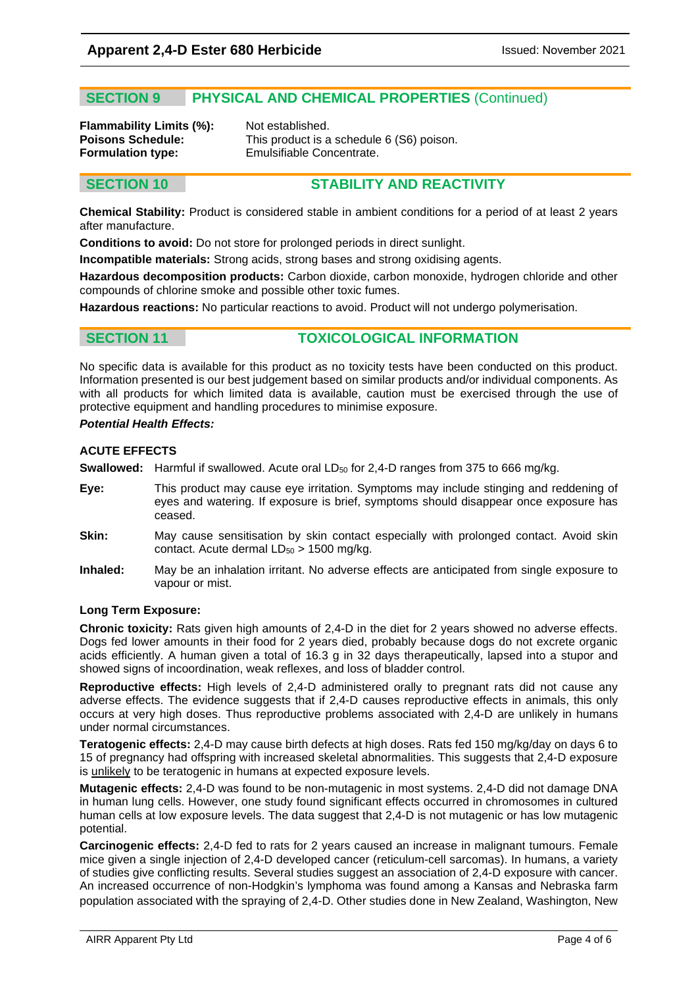### **SECTION 9 PHYSICAL AND CHEMICAL PROPERTIES** (Continued)

**Flammability Limits (%):** Not established.<br>**Poisons Schedule:** This product is a

**Poisons Schedule:** This product is a schedule 6 (S6) poison.<br> **Formulation type:** Emulsifiable Concentrate. **Formulation type:** Emulsifiable Concentrate.

### **SECTION 10 STABILITY AND REACTIVITY**

**Chemical Stability:** Product is considered stable in ambient conditions for a period of at least 2 years after manufacture.

**Conditions to avoid:** Do not store for prolonged periods in direct sunlight.

**Incompatible materials:** Strong acids, strong bases and strong oxidising agents.

**Hazardous decomposition products:** Carbon dioxide, carbon monoxide, hydrogen chloride and other compounds of chlorine smoke and possible other toxic fumes.

**Hazardous reactions:** No particular reactions to avoid. Product will not undergo polymerisation.

### **SECTION 11 TOXICOLOGICAL INFORMATION**

No specific data is available for this product as no toxicity tests have been conducted on this product. Information presented is our best judgement based on similar products and/or individual components. As with all products for which limited data is available, caution must be exercised through the use of protective equipment and handling procedures to minimise exposure.

#### *Potential Health Effects:*

#### **ACUTE EFFECTS**

**Swallowed:** Harmful if swallowed. Acute oral LD<sub>50</sub> for 2,4-D ranges from 375 to 666 mg/kg.

- **Eye:** This product may cause eye irritation. Symptoms may include stinging and reddening of eyes and watering. If exposure is brief, symptoms should disappear once exposure has ceased.
- **Skin:** May cause sensitisation by skin contact especially with prolonged contact. Avoid skin contact. Acute dermal  $LD_{50} > 1500$  mg/kg.
- **Inhaled:** May be an inhalation irritant. No adverse effects are anticipated from single exposure to vapour or mist.

#### **Long Term Exposure:**

**Chronic toxicity:** Rats given high amounts of 2,4-D in the diet for 2 years showed no adverse effects. Dogs fed lower amounts in their food for 2 years died, probably because dogs do not excrete organic acids efficiently. A human given a total of 16.3 g in 32 days therapeutically, lapsed into a stupor and showed signs of incoordination, weak reflexes, and loss of bladder control.

**Reproductive effects:** High levels of 2,4-D administered orally to pregnant rats did not cause any adverse effects. The evidence suggests that if 2,4-D causes reproductive effects in animals, this only occurs at very high doses. Thus reproductive problems associated with 2,4-D are unlikely in humans under normal circumstances.

**Teratogenic effects:** 2,4-D may cause birth defects at high doses. Rats fed 150 mg/kg/day on days 6 to 15 of pregnancy had offspring with increased skeletal abnormalities. This suggests that 2,4-D exposure is unlikely to be teratogenic in humans at expected exposure levels.

**Mutagenic effects:** 2,4-D was found to be non-mutagenic in most systems. 2,4-D did not damage DNA in human lung cells. However, one study found significant effects occurred in chromosomes in cultured human cells at low exposure levels. The data suggest that 2,4-D is not mutagenic or has low mutagenic potential.

**Carcinogenic effects:** 2,4-D fed to rats for 2 years caused an increase in malignant tumours. Female mice given a single injection of 2,4-D developed cancer (reticulum-cell sarcomas). In humans, a variety of studies give conflicting results. Several studies suggest an association of 2,4-D exposure with cancer. An increased occurrence of non-Hodgkin's lymphoma was found among a Kansas and Nebraska farm population associated with the spraying of 2,4-D. Other studies done in New Zealand, Washington, New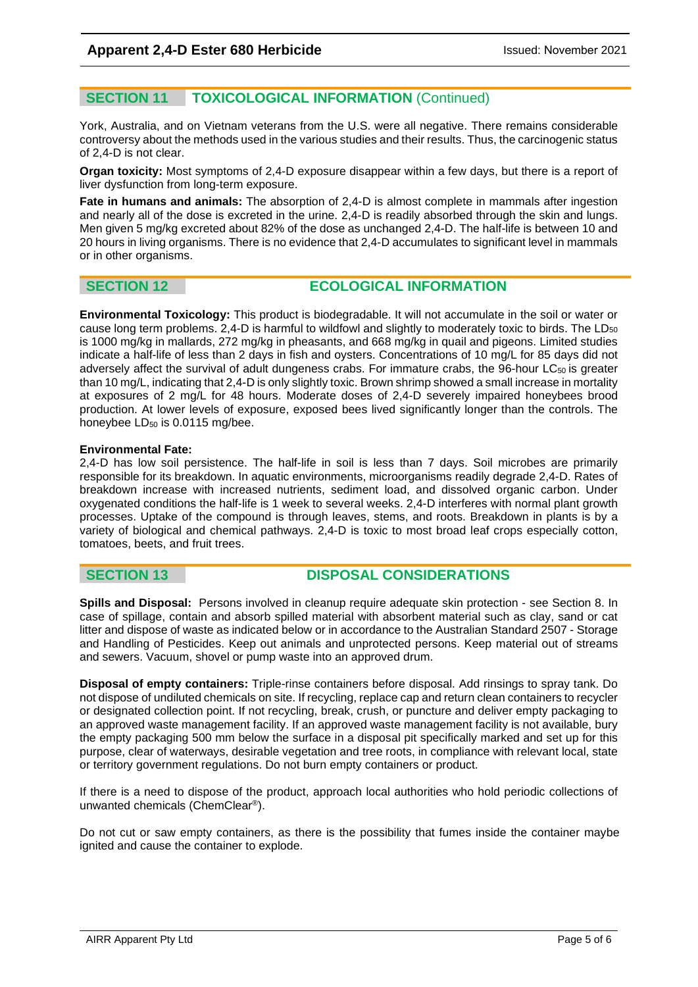### **SECTION 11 TOXICOLOGICAL INFORMATION** (Continued)

York, Australia, and on Vietnam veterans from the U.S. were all negative. There remains considerable controversy about the methods used in the various studies and their results. Thus, the carcinogenic status of 2,4-D is not clear.

**Organ toxicity:** Most symptoms of 2,4-D exposure disappear within a few days, but there is a report of liver dysfunction from long-term exposure.

**Fate in humans and animals:** The absorption of 2,4-D is almost complete in mammals after ingestion and nearly all of the dose is excreted in the urine. 2,4-D is readily absorbed through the skin and lungs. Men given 5 mg/kg excreted about 82% of the dose as unchanged 2,4-D. The half-life is between 10 and 20 hours in living organisms. There is no evidence that 2,4-D accumulates to significant level in mammals or in other organisms.

#### **SECTION 12 ECOLOGICAL INFORMATION**

**Environmental Toxicology:** This product is biodegradable. It will not accumulate in the soil or water or cause long term problems.  $2,4$ -D is harmful to wildfowl and slightly to moderately toxic to birds. The LD $_{50}$ is 1000 mg/kg in mallards, 272 mg/kg in pheasants, and 668 mg/kg in quail and pigeons. Limited studies indicate a half-life of less than 2 days in fish and oysters. Concentrations of 10 mg/L for 85 days did not adversely affect the survival of adult dungeness crabs. For immature crabs, the 96-hour LC<sub>50</sub> is greater than 10 mg/L, indicating that 2,4-D is only slightly toxic. Brown shrimp showed a small increase in mortality at exposures of 2 mg/L for 48 hours. Moderate doses of 2,4-D severely impaired honeybees brood production. At lower levels of exposure, exposed bees lived significantly longer than the controls. The honeybee LD<sub>50</sub> is 0.0115 mg/bee.

#### **Environmental Fate:**

2,4-D has low soil persistence. The half-life in soil is less than 7 days. Soil microbes are primarily responsible for its breakdown. In aquatic environments, microorganisms readily degrade 2,4-D. Rates of breakdown increase with increased nutrients, sediment load, and dissolved organic carbon. Under oxygenated conditions the half-life is 1 week to several weeks. 2,4-D interferes with normal plant growth processes. Uptake of the compound is through leaves, stems, and roots. Breakdown in plants is by a variety of biological and chemical pathways. 2,4-D is toxic to most broad leaf crops especially cotton, tomatoes, beets, and fruit trees.

### **SECTION 13 DISPOSAL CONSIDERATIONS**

**Spills and Disposal:** Persons involved in cleanup require adequate skin protection - see Section 8. In case of spillage, contain and absorb spilled material with absorbent material such as clay, sand or cat litter and dispose of waste as indicated below or in accordance to the Australian Standard 2507 - Storage and Handling of Pesticides. Keep out animals and unprotected persons. Keep material out of streams and sewers. Vacuum, shovel or pump waste into an approved drum.

**Disposal of empty containers:** Triple-rinse containers before disposal. Add rinsings to spray tank. Do not dispose of undiluted chemicals on site. If recycling, replace cap and return clean containers to recycler or designated collection point. If not recycling, break, crush, or puncture and deliver empty packaging to an approved waste management facility. If an approved waste management facility is not available, bury the empty packaging 500 mm below the surface in a disposal pit specifically marked and set up for this purpose, clear of waterways, desirable vegetation and tree roots, in compliance with relevant local, state or territory government regulations. Do not burn empty containers or product.

If there is a need to dispose of the product, approach local authorities who hold periodic collections of unwanted chemicals (ChemClear®).

Do not cut or saw empty containers, as there is the possibility that fumes inside the container maybe ignited and cause the container to explode.